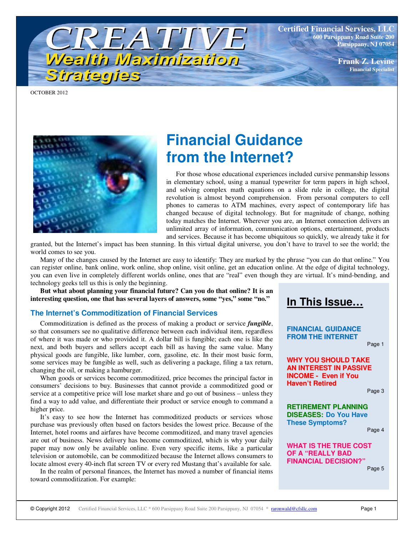**Certified Financial Services, LLC 600 Parsippany Road Suite 200 Parsippany, NJ 07054**

> **Frank Z. Levine Financial Specialist**

OCTOBER 2012



Strategies

# **Financial Guidance from the Internet?**

For those whose educational experiences included cursive penmanship lessons in elementary school, using a manual typewriter for term papers in high school, and solving complex math equations on a slide rule in college, the digital revolution is almost beyond comprehension. From personal computers to cell phones to cameras to ATM machines, every aspect of contemporary life has changed because of digital technology. But for magnitude of change, nothing today matches the Internet. Wherever you are, an Internet connection delivers an unlimited array of information, communication options, entertainment, products and services. Because it has become ubiquitous so quickly, we already take it for

granted, but the Internet's impact has been stunning. In this virtual digital universe, you don't have to travel to see the world; the world comes to see you.

Many of the changes caused by the Internet are easy to identify: They are marked by the phrase "you can do that online." You can register online, bank online, work online, shop online, visit online, get an education online. At the edge of digital technology, you can even live in completely different worlds online, ones that are "real" even though they are virtual. It's mind-bending, and technology geeks tell us this is only the beginning.

**But what about planning your financial future? Can you do that online? It is an interesting question, one that has several layers of answers, some "yes," some "no."** 

TREATIVE

Wealth Maximization

### **The Internet's Commoditization of Financial Services**

Commoditization is defined as the process of making a product or service *fungible*, so that consumers see no qualitative difference between each individual item, regardless of where it was made or who provided it. A dollar bill is fungible; each one is like the next, and both buyers and sellers accept each bill as having the same value. Many physical goods are fungible, like lumber, corn, gasoline, etc. In their most basic form, some services may be fungible as well, such as delivering a package, filing a tax return, changing the oil, or making a hamburger.

When goods or services become commoditized, price becomes the principal factor in consumers' decisions to buy. Businesses that cannot provide a commoditized good or service at a competitive price will lose market share and go out of business – unless they find a way to add value, and differentiate their product or service enough to command a higher price.

It's easy to see how the Internet has commoditized products or services whose purchase was previously often based on factors besides the lowest price. Because of the Internet, hotel rooms and airfares have become commoditized, and many travel agencies are out of business. News delivery has become commoditized, which is why your daily paper may now only be available online. Even very specific items, like a particular television or automobile, can be commoditized because the Internet allows consumers to locate almost every 40-inch flat screen TV or every red Mustang that's available for sale.

In the realm of personal finances, the Internet has moved a number of financial items toward commoditization. For example:

**In This Issue… FINANCIAL GUIDANCE**

**FROM THE INTERNET**

Page 1

**WHY YOU SHOULD TAKE AN INTEREST IN PASSIVE INCOME - Even if You Haven't Retired**

Page 3

**RETIREMENT PLANNING DISEASES: Do You Have These Symptoms?**

Page 4

**WHAT IS THE TRUE COST OF A "REALLY BAD FINANCIAL DECISION?** 

Page 5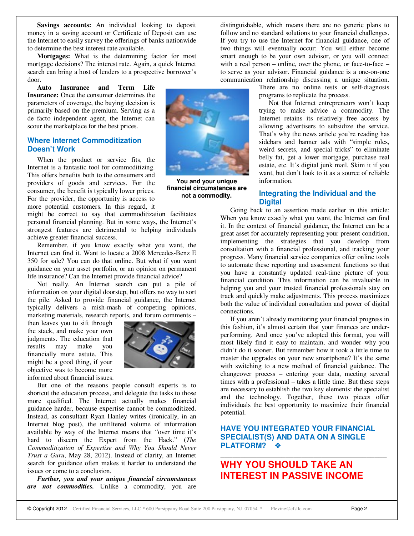**Savings accounts:** An individual looking to deposit money in a saving account or Certificate of Deposit can use the Internet to easily survey the offerings of banks nationwide to determine the best interest rate available.

**Mortgages:** What is the determining factor for most mortgage decisions? The interest rate. Again, a quick Internet search can bring a host of lenders to a prospective borrower's door.

**Auto Insurance and Term Life Insurance:** Once the consumer determines the parameters of coverage, the buying decision is primarily based on the premium. Serving as a de facto independent agent, the Internet can scour the marketplace for the best prices.

### **Where Internet Commoditization Doesn't Work**

When the product or service fits, the Internet is a fantastic tool for commoditizing. This offers benefits both to the consumers and providers of goods and services. For the consumer, the benefit is typically lower prices. For the provider, the opportunity is access to more potential customers. In this regard, it

might be correct to say that commoditization facilitates personal financial planning. But in some ways, the Internet's strongest features are detrimental to helping individuals achieve greater financial success.

Remember, if you know exactly what you want, the Internet can find it. Want to locate a 2008 Mercedes-Benz E 350 for sale? You can do that online. But what if you want guidance on your asset portfolio, or an opinion on permanent life insurance? Can the Internet provide financial advice?

Not really. An Internet search can put a pile of information on your digital doorstep, but offers no way to sort the pile. Asked to provide financial guidance, the Internet typically delivers a mish-mash of competing opinions, marketing materials, research reports, and forum comments –

then leaves you to sift through the stack, and make your own judgments. The education that results may make you financially more astute. This might be a good thing, if your objective was to become more informed about financial issues.



**You and your unique financial circumstances are not a commodity.**

But one of the reasons people consult experts is to shortcut the education process, and delegate the tasks to those more qualified. The Internet actually makes financial guidance harder, because expertise cannot be commoditized. Instead, as consultant Ryan Hanley writes (ironically, in an Internet blog post), the unfiltered volume of information available by way of the Internet means that "over time it's hard to discern the Expert from the Hack." (*The Commoditization of Expertise and Why You Should Never Trust a Guru*, May 28, 2012). Instead of clarity, an Internet search for guidance often makes it harder to understand the issues or come to a conclusion.

*Further, you and your unique financial circumstances are not commodities.* Unlike a commodity, you are

distinguishable, which means there are no generic plans to follow and no standard solutions to your financial challenges. If you try to use the Internet for financial guidance, one of two things will eventually occur: You will either become smart enough to be your own advisor, or you will connect with a real person – online, over the phone, or face-to-face – to serve as your advisor. Financial guidance is a one-on-one communication relationship discussing a unique situation.

There are no online tests or self-diagnosis programs to replicate the process.

Not that Internet entrepreneurs won't keep trying to make advice a commodity. The Internet retains its relatively free access by allowing advertisers to subsidize the service. That's why the news article you're reading has sidebars and banner ads with "simple rules, weird secrets, and special tricks" to eliminate belly fat, get a lower mortgage, purchase real estate, etc. It's digital junk mail. Skim it if you want, but don't look to it as a source of reliable information.

### **Integrating the Individual and the Digital**

Going back to an assertion made earlier in this article: When you know exactly what you want, the Internet can find it. In the context of financial guidance, the Internet can be a great asset for accurately representing your present condition, implementing the strategies that you develop from consultation with a financial professional, and tracking your progress. Many financial service companies offer online tools to automate these reporting and assessment functions so that you have a constantly updated real-time picture of your financial condition. This information can be invaluable in helping you and your trusted financial professionals stay on track and quickly make adjustments. This process maximizes both the value of individual consultation and power of digital connections.

If you aren't already monitoring your financial progress in this fashion, it's almost certain that your finances are underperforming. And once you've adopted this format, you will most likely find it easy to maintain, and wonder why you didn't do it sooner. But remember how it took a little time to master the upgrades on your new smartphone? It's the same with switching to a new method of financial guidance. The changeover process – entering your data, meeting several times with a professional – takes a little time. But these steps are necessary to establish the two key elements: the specialist and the technology. Together, these two pieces offer individuals the best opportunity to maximize their financial potential.

### **HAVE YOU INTEGRATED YOUR FINANCIAL SPECIALIST(S) AND DATA ON A SINGLE PLATFORM?**

\_\_\_\_\_\_\_\_\_\_\_\_\_\_\_\_\_\_\_\_\_\_\_\_\_\_\_\_\_\_\_\_\_\_\_\_\_\_\_\_\_

# **WHY YOU SHOULD TAKE AN INTEREST IN PASSIVE INCOME**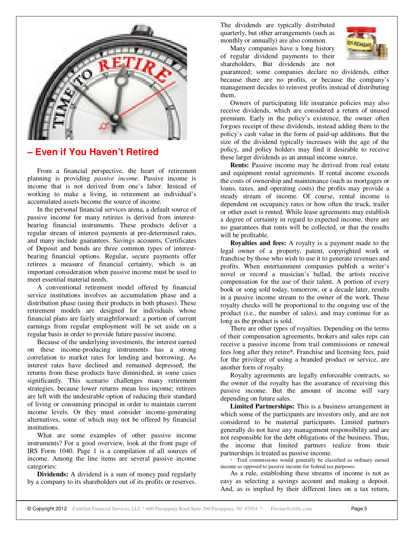

# **– Even if You Haven't Retired**

From a financial perspective, the heart of retirement planning is providing *passive income*. Passive income is income that is not derived from one's labor. Instead of working to make a living, in retirement an individual's accumulated assets become the source of income.

In the personal financial services arena, a default source of passive income for many retirees is derived from interestbearing financial instruments. These products deliver a regular stream of interest payments at pre-determined rates, and many include guarantees. Savings accounts, Certificates of Deposit and bonds are three common types of interestbearing financial options. Regular, secure payments offer retirees a measure of financial certainty, which is an important consideration when passive income must be used to meet essential material needs.

A conventional retirement model offered by financial service institutions involves an accumulation phase and a distribution phase (using their products in both phases). These retirement models are designed for individuals whose financial plans are fairly straightforward: a portion of current earnings from regular employment will be set aside on a regular basis in order to provide future passive income.

Because of the underlying investments, the interest earned on these income-producing instruments has a strong correlation to market rates for lending and borrowing. As interest rates have declined and remained depressed, the returns from these products have diminished, in some cases significantly. This scenario challenges many retirement strategies, because lower returns mean less income; retirees are left with the undesirable option of reducing their standard of living or consuming principal in order to maintain current income levels. Or they must consider income-generating alternatives, some of which may not be offered by financial institutions.

What are some examples of other passive income instruments? For a good overview, look at the front page of IRS Form 1040. Page 1 is a compilation of all sources of income. Among the line items are several passive income categories:

**Dividends:** A dividend is a sum of money paid regularly by a company to its shareholders out of its profits or reserves.

The dividends are typically distributed quarterly, but other arrangements (such as monthly or annually) are also common.

Many companies have a long history of regular dividend payments to their shareholders. But dividends are not



guaranteed; some companies declare no dividends, either because there are no profits, or because the company's management decides to reinvest profits instead of distributing them.

Owners of participating life insurance policies may also receive dividends, which are considered a return of unused premium. Early in the policy's existence, the owner often forgoes receipt of these dividends, instead adding them to the policy's cash value in the form of paid-up additions. But the size of the dividend typically increases with the age of the policy, and policy holders may find it desirable to receive these larger dividends as an annual income source.

**Rents:** Passive income may be derived from real estate and equipment rental agreements. If rental income exceeds the costs of ownership and maintenance (such as mortgages or loans, taxes, and operating costs) the profits may provide a steady stream of income. Of course, rental income is dependent on occupancy rates or how often the truck, trailer or other asset is rented. While lease agreements may establish a degree of certainty in regard to expected income, there are no guarantees that rents will be collected, or that the results will be profitable.

**Royalties and fees:** A royalty is a payment made to the legal owner of a property, patent, copyrighted work or franchise by those who wish to use it to generate revenues and profits. When entertainment companies publish a writer's novel or record a musician's ballad, the artists receive compensation for the use of their talent. A portion of every book or song sold today, tomorrow, or a decade later, results in a passive income stream to the owner of the work. These royalty checks will be proportional to the ongoing use of the product (i.e., the number of sales), and may continue for as long as the product is sold.

There are other types of royalties. Depending on the terms of their compensation agreements, brokers and sales reps can receive a passive income from trail commissions or renewal fees long after they retire\*. Franchise and licensing fees, paid for the privilege of using a branded product or service, are another form of royalty.

Royalty agreements are legally enforceable contracts, so the owner of the royalty has the assurance of receiving this passive income. But the amount of income will vary depending on future sales.

**Limited Partnerships:** This is a business arrangement in which some of the participants are investors only, and are not considered to be material participants. Limited partners generally do not have any management responsibility and are not responsible for the debt obligations of the business. Thus, the income that limited partners realize from their partnerships is treated as passive income.

\* Trail commissions would generally be classified as ordinary earned income as opposed to passive income for federal tax purposes.

As a rule, establishing these streams of income is not as easy as selecting a savings account and making a deposit. And, as is implied by their different lines on a tax return,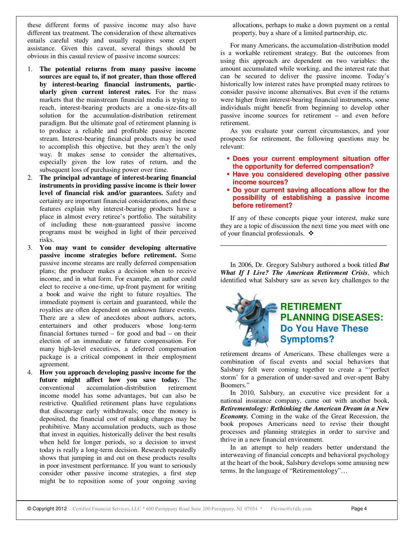these different forms of passive income may also have different tax treatment. The consideration of these alternatives entails careful study and usually requires some expert assistance. Given this caveat, several things should be obvious in this casual review of passive income sources:

- 1. **The potential returns from many passive income sources are equal to, if not greater, than those offered by interest-bearing financial instruments, particularly given current interest rates.** For the mass markets that the mainstream financial media is trying to reach, interest-bearing products are a one-size-fits-all solution for the accumulation-distribution retirement paradigm. But the ultimate goal of retirement planning is to produce a reliable and profitable passive income stream. Interest-bearing financial products may be used to accomplish this objective, but they aren't the only way. It makes sense to consider the alternatives, especially given the low rates of return, and the subsequent loss of purchasing power over time.
- 2. **The principal advantage of interest-bearing financial instruments in providing passive income is their lower level of financial risk and/or guarantees.** Safety and certainty are important financial considerations, and these features explain why interest-bearing products have a place in almost every retiree's portfolio. The suitability of including these non-guaranteed passive income programs must be weighed in light of their perceived risks.
- 3. **You may want to consider developing alternative passive income strategies before retirement.** Some passive income streams are really deferred compensation plans; the producer makes a decision when to receive income, and in what form. For example, an author could elect to receive a one-time, up-front payment for writing a book and waive the right to future royalties. The immediate payment is certain and guaranteed, while the royalties are often dependent on unknown future events. There are a slew of anecdotes about authors, actors, entertainers and other producers whose long-term financial fortunes turned – for good and bad – on their election of an immediate or future compensation. For many high-level executives, a deferred compensation package is a critical component in their employment agreement.
- 4. **How you approach developing passive income for the future might affect how you save today.** The conventional accumulation-distribution retirement income model has some advantages, but can also be restrictive. Qualified retirement plans have regulations that discourage early withdrawals; once the money is deposited, the financial cost of making changes may be prohibitive. Many accumulation products, such as those that invest in equities, historically deliver the best results when held for longer periods, so a decision to invest today is really a long-term decision. Research repeatedly shows that jumping in and out on these products results in poor investment performance. If you want to seriously consider other passive income strategies, a first step might be to reposition some of your ongoing saving

allocations, perhaps to make a down payment on a rental property, buy a share of a limited partnership, etc.

For many Americans, the accumulation-distribution model is a workable retirement strategy. But the outcomes from using this approach are dependent on two variables: the amount accumulated while working, and the interest rate that can be secured to deliver the passive income. Today's historically low interest rates have prompted many retirees to consider passive income alternatives. But even if the returns were higher from interest-bearing financial instruments, some individuals might benefit from beginning to develop other passive income sources for retirement – and even before retirement.

As you evaluate your current circumstances, and your prospects for retirement, the following questions may be relevant:

- **Does your current employment situation offer the opportunity for deferred compensation?**
- **Have you considered developing other passive income sources?**
- **Do your current saving allocations allow for the possibility of establishing a passive income before retirement?**

If any of these concepts pique your interest, make sure they are a topic of discussion the next time you meet with one of your financial professionals.

\_\_\_\_\_\_\_\_\_\_\_\_\_\_\_\_\_\_\_\_\_\_\_\_\_\_\_\_\_\_\_\_\_\_\_\_\_\_\_\_\_

In 2006, Dr. Gregory Salsbury authored a book titled *But What If I Live? The American Retirement Crisis*, which identified what Salsbury saw as seven key challenges to the



retirement dreams of Americans. These challenges were a combination of fiscal events and social behaviors that Salsbury felt were coming together to create a "'perfect storm' for a generation of under-saved and over-spent Baby Boomers."

In 2010, Salsbury, an executive vice president for a national insurance company, came out with another book, *Retirementology: Rethinking the American Dream in a New Economy.* Coming in the wake of the Great Recession, the book proposes Americans need to revise their thought processes and planning strategies in order to survive and thrive in a new financial environment.

In an attempt to help readers better understand the interweaving of financial concepts and behavioral psychology at the heart of the book, Salsbury develops some amusing new terms. In the language of "Retirementology"…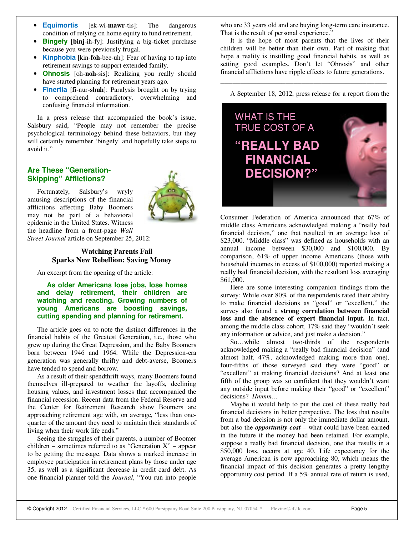- **Equimortis** [ek-wi-**mawr**-tis]: The dangerous condition of relying on home equity to fund retirement.
- **Bingefy** [binj-ih-fy]: Justifying a big-ticket purchase because you were previously frugal.
- **Kinphobia** [kin-**foh**-bee-uh]: Fear of having to tap into retirement savings to support extended family.
- **Ohnosis** [oh-**noh**-sis]: Realizing you really should have started planning for retirement years ago.
- **Finertia** [**fi**-nur-**shuh**]: Paralysis brought on by trying to comprehend contradictory, overwhelming and confusing financial information.

In a press release that accompanied the book's issue, Salsbury said, "People may not remember the precise psychological terminology behind these behaviors, but they will certainly remember 'bingefy' and hopefully take steps to avoid it."

## **Are These "Generation-Skipping" Afflictions?**

Fortunately, Salsbury's wryly amusing descriptions of the financial afflictions affecting Baby Boomers may not be part of a behavioral epidemic in the United States. Witness the headline from a front-page *Wall Street Journal* article on September 25, 2012:



### **Watching Parents Fail Sparks New Rebellion: Saving Money**

An excerpt from the opening of the article:

**As older Americans lose jobs, lose homes and delay retirement, their children are watching and reacting. Growing numbers of young Americans are boosting savings, cutting spending and planning for retirement.** 

The article goes on to note the distinct differences in the financial habits of the Greatest Generation, i.e., those who grew up during the Great Depression, and the Baby Boomers born between 1946 and 1964. While the Depression-era generation was generally thrifty and debt-averse, Boomers have tended to spend and borrow.

As a result of their spendthrift ways, many Boomers found themselves ill-prepared to weather the layoffs, declining housing values, and investment losses that accompanied the financial recession. Recent data from the Federal Reserve and the Center for Retirement Research show Boomers are approaching retirement age with, on average, "less than onequarter of the amount they need to maintain their standards of living when their work life ends."

Seeing the struggles of their parents, a number of Boomer children – sometimes referred to as "Generation  $X$ " – appear to be getting the message. Data shows a marked increase in employee participation in retirement plans by those under age 35, as well as a significant decrease in credit card debt. As one financial planner told the *Journal*, "You run into people

who are 33 years old and are buying long-term care insurance. That is the result of personal experience."

It is the hope of most parents that the lives of their children will be better than their own. Part of making that hope a reality is instilling good financial habits, as well as setting good examples. Don't let "Ohnosis" and other financial afflictions have ripple effects to future generations.

\_\_\_\_\_\_\_\_\_\_\_\_\_\_\_\_\_\_\_\_\_\_\_\_\_\_\_\_\_\_\_\_\_\_\_\_\_\_\_\_\_

A September 18, 2012, press release for a report from the



Consumer Federation of America announced that 67% of middle class Americans acknowledged making a "really bad financial decision," one that resulted in an average loss of \$23,000. "Middle class" was defined as households with an annual income between \$30,000 and \$100,000. By comparison, 61% of upper income Americans (those with household incomes in excess of \$100,000) reported making a really bad financial decision, with the resultant loss averaging \$61,000.

Here are some interesting companion findings from the survey: While over 80% of the respondents rated their ability to make financial decisions as "good" or "excellent," the survey also found a **strong correlation between financial loss and the absence of expert financial input.** In fact, among the middle class cohort, 17% said they "wouldn't seek any information or advice, and just make a decision."

So…while almost two-thirds of the respondents acknowledged making a "really bad financial decision" (and almost half, 47%, acknowledged making more than one), four-fifths of those surveyed said they were "good" or "excellent" at making financial decisions? And at least one fifth of the group was so confident that they wouldn't want any outside input before making their "good" or "excellent" decisions? *Hmmm…*

Maybe it would help to put the cost of these really bad financial decisions in better perspective. The loss that results from a bad decision is not only the immediate dollar amount, but also the *opportunity cost* – what could have been earned in the future if the money had been retained. For example, suppose a really bad financial decision, one that results in a \$50,000 loss, occurs at age 40. Life expectancy for the average American is now approaching 80, which means the financial impact of this decision generates a pretty lengthy opportunity cost period. If a 5% annual rate of return is used,